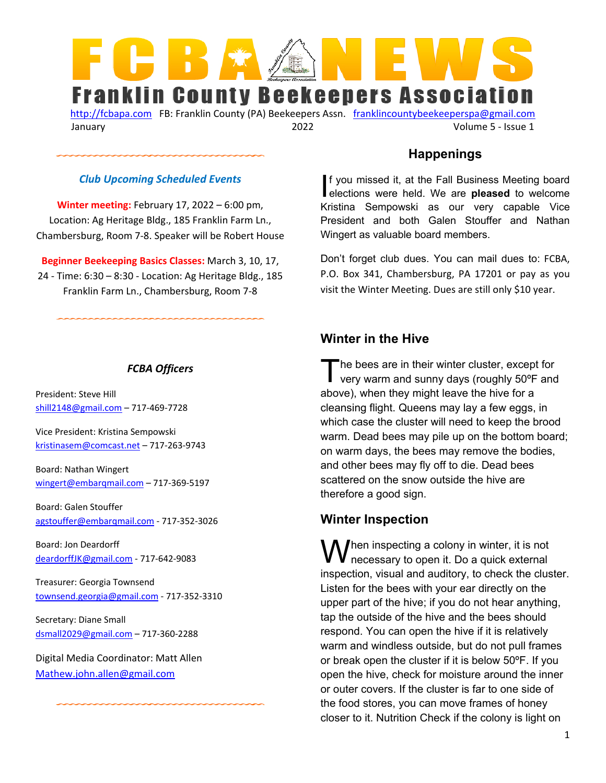

[http://fcbapa.com](http://fcbapa.com/) FB: Franklin County (PA) Beekeepers Assn. franklincountybeekeeperspa@gmail.com January 2022 Volume 5 - Issue 1

### *Club Upcoming Scheduled Events*

**Winter meeting:** February 17, 2022 – 6:00 pm, Location: Ag Heritage Bldg., 185 Franklin Farm Ln., Chambersburg, Room 7-8. Speaker will be Robert House

**Beginner Beekeeping Basics Classes:** March 3, 10, 17, 24 - Time: 6:30 – 8:30 - Location: Ag Heritage Bldg., 185 Franklin Farm Ln., Chambersburg, Room 7-8

#### *FCBA Officers*

President: Steve Hill [shill2148@gmail.com –](mailto:shill2148@gmail.com) 717-469-7728

Vice President: Kristina Sempowski [kristinasem@comcast.net –](mailto:kristinasem@comcast.net) 717-263-9743

Board: Nathan Wingert [wingert@embarqmail.com –](mailto:wingert@embarqmail.com) 717-369-5197

Board: Galen Stouffer [agstouffer@embarqmail.com](mailto:agstouffer@embarqmail.com) - 717-352-3026

Board: Jon Deardorff [deardorffJK@gmail.com](mailto:deardorffJK@gmail.com) - 717-642-9083

Treasurer: Georgia Townsend [townsend.georgia@gmail.com](mailto:townsend.georgia@gmail.com) - 717-352-3310

Secretary: Diane Small [dsmall2029@gmail.com](mailto:dsmall2029@gmail.com) – 717-360-2288

Digital Media Coordinator: Matt Allen [Mathew.john.allen@gmail.com](mailto:Mathew.john.allen@gmail.com) 

### **Happenings**

f you missed it, at the Fall Business Meeting board If you missed it, at the Fall Business Meeting board<br>elections were held. We are **pleased** to welcome Kristina Sempowski as our very capable Vice President and both Galen Stouffer and Nathan Wingert as valuable board members.

Don't forget club dues. You can mail dues to: FCBA, P.O. Box 341, Chambersburg, PA 17201 or pay as you visit the Winter Meeting. Dues are still only \$10 year.

### **Winter in the Hive**

he bees are in their winter cluster, except for The bees are in their winter cluster, except for<br>very warm and sunny days (roughly 50°F and above), when they might leave the hive for a cleansing flight. Queens may lay a few eggs, in which case the cluster will need to keep the brood warm. Dead bees may pile up on the bottom board; on warm days, the bees may remove the bodies, and other bees may fly off to die. Dead bees scattered on the snow outside the hive are therefore a good sign.

### **Winter Inspection**

 $\bigcup$ hen inspecting a colony in winter, it is not  $\mathbf W$ hen inspecting a colony in winter, it is not necessary to open it. Do a quick external inspection, visual and auditory, to check the cluster. Listen for the bees with your ear directly on the upper part of the hive; if you do not hear anything, tap the outside of the hive and the bees should respond. You can open the hive if it is relatively warm and windless outside, but do not pull frames or break open the cluster if it is below 50ºF. If you open the hive, check for moisture around the inner or outer covers. If the cluster is far to one side of the food stores, you can move frames of honey closer to it. Nutrition Check if the colony is light on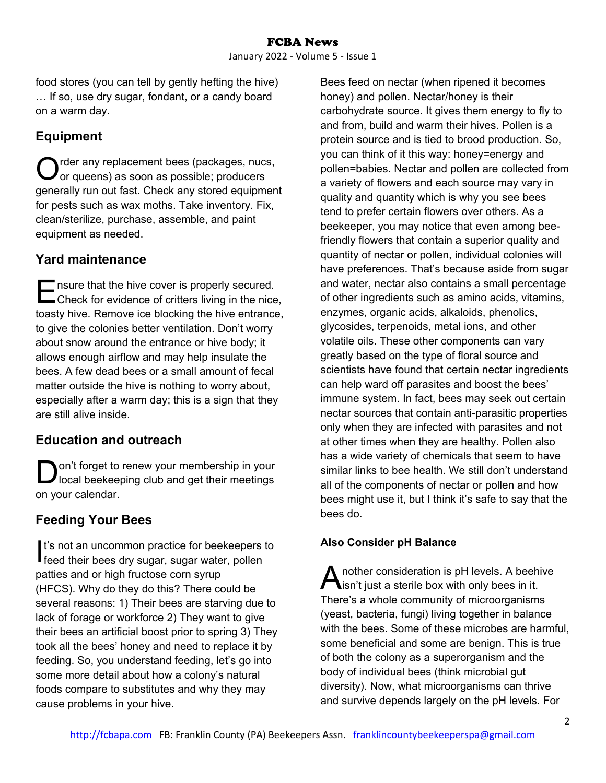food stores (you can tell by gently hefting the hive) … If so, use dry sugar, fondant, or a candy board on a warm day.

## **Equipment**

rder any replacement bees (packages, nucs, or queens) as soon as possible; producers generally run out fast. Check any stored equipment for pests such as wax moths. Take inventory. Fix, clean/sterilize, purchase, assemble, and paint equipment as needed. O

## **Yard maintenance**

nsure that the hive cover is properly secured. The matrice is properly secured.<br>
Check for evidence of critters living in the nice, toasty hive. Remove ice blocking the hive entrance, to give the colonies better ventilation. Don't worry about snow around the entrance or hive body; it allows enough airflow and may help insulate the bees. A few dead bees or a small amount of fecal matter outside the hive is nothing to worry about, especially after a warm day; this is a sign that they are still alive inside.

# **Education and outreach**

on't forget to renew your membership in your Iocal beekeeping club and get their meetings on your calendar. D

# **Feeding Your Bees**

t's not an uncommon practice for beekeepers to I's not an uncommon practice for beekeepers<br>feed their bees dry sugar, sugar water, pollent patties and or high fructose corn syrup (HFCS). Why do they do this? There could be several reasons: 1) Their bees are starving due to lack of forage or workforce 2) They want to give their bees an artificial boost prior to spring 3) They took all the bees' honey and need to replace it by feeding. So, you understand feeding, let's go into some more detail about how a colony's natural foods compare to substitutes and why they may cause problems in your hive.

Bees feed on nectar (when ripened it becomes honey) and pollen. Nectar/honey is their carbohydrate source. It gives them energy to fly to and from, build and warm their hives. Pollen is a protein source and is tied to brood production. So, you can think of it this way: honey=energy and pollen=babies. Nectar and pollen are collected from a variety of flowers and each source may vary in quality and quantity which is why you see bees tend to prefer certain flowers over others. As a beekeeper, you may notice that even among beefriendly flowers that contain a superior quality and quantity of nectar or pollen, individual colonies will have preferences. That's because aside from sugar and water, nectar also contains a small percentage of other ingredients such as amino acids, vitamins, enzymes, organic acids, alkaloids, phenolics, glycosides, terpenoids, metal ions, and other volatile oils. These other components can vary greatly based on the type of floral source and scientists have found that certain nectar ingredients can help ward off parasites and boost the bees' immune system. In fact, bees may seek out certain nectar sources that contain anti-parasitic properties only when they are infected with parasites and not at other times when they are healthy. Pollen also has a wide variety of chemicals that seem to have similar links to bee health. We still don't understand all of the components of nectar or pollen and how bees might use it, but I think it's safe to say that the bees do.

## **Also Consider pH Balance**

nother consideration is pH levels. A beehive A nother consideration is pH levels. A beeh<br>
isn't just a sterile box with only bees in it. There's a whole community of microorganisms (yeast, bacteria, fungi) living together in balance with the bees. Some of these microbes are harmful, some beneficial and some are benign. This is true of both the colony as a superorganism and the body of individual bees (think microbial gut diversity). Now, what microorganisms can thrive and survive depends largely on the pH levels. For